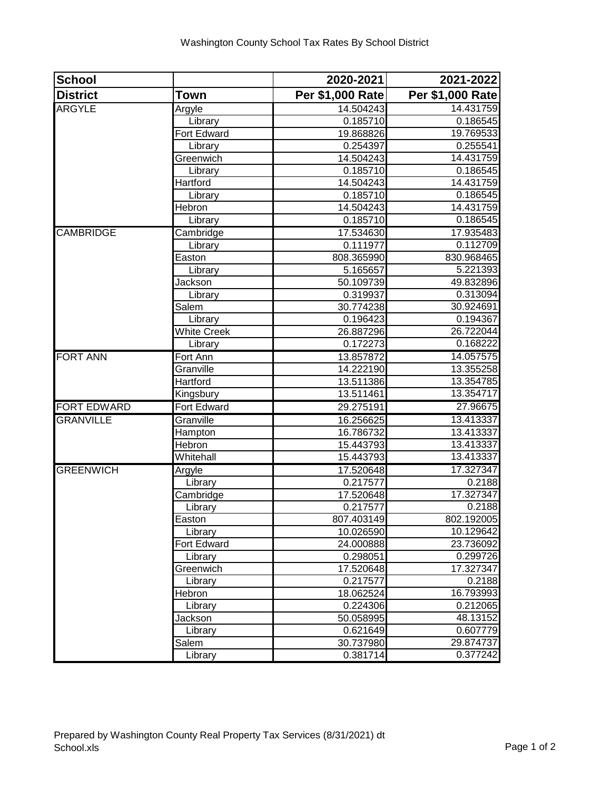| <b>School</b>      |                    | 2020-2021        | 2021-2022        |
|--------------------|--------------------|------------------|------------------|
| <b>District</b>    | <b>Town</b>        | Per \$1,000 Rate | Per \$1,000 Rate |
| <b>ARGYLE</b>      | Argyle             | 14.504243        | 14.431759        |
|                    | Library            | 0.185710         | 0.186545         |
|                    | Fort Edward        | 19.868826        | 19.769533        |
|                    | Library            | 0.254397         | 0.255541         |
|                    | Greenwich          | 14.504243        | 14.431759        |
|                    | Library            | 0.185710         | 0.186545         |
|                    | Hartford           | 14.504243        | 14.431759        |
|                    | Library            | 0.185710         | 0.186545         |
|                    | Hebron             | 14.504243        | 14.431759        |
|                    | Library            | 0.185710         | 0.186545         |
| <b>CAMBRIDGE</b>   | Cambridge          | 17.534630        | 17.935483        |
|                    | Library            | 0.111977         | 0.112709         |
|                    | Easton             | 808.365990       | 830.968465       |
|                    | Library            | 5.165657         | 5.221393         |
|                    | Jackson            | 50.109739        | 49.832896        |
|                    | Library            | 0.319937         | 0.313094         |
|                    | Salem              | 30.774238        | 30.924691        |
|                    | Library            | 0.196423         | 0.194367         |
|                    | <b>White Creek</b> | 26.887296        | 26.722044        |
|                    | Library            | 0.172273         | 0.168222         |
| <b>FORT ANN</b>    | Fort Ann           | 13.857872        | 14.057575        |
|                    | Granville          | 14.222190        | 13.355258        |
|                    | Hartford           | 13.511386        | 13.354785        |
|                    | Kingsbury          | 13.511461        | 13.354717        |
| <b>FORT EDWARD</b> | <b>Fort Edward</b> | 29.275191        | 27.96675         |
| <b>GRANVILLE</b>   | Granville          | 16.256625        | 13.413337        |
|                    | Hampton            | 16.786732        | 13.413337        |
|                    | Hebron             | 15.443793        | 13.413337        |
|                    | Whitehall          | 15.443793        | 13.413337        |
| <b>GREENWICH</b>   | Argyle             | 17.520648        | 17.327347        |
|                    | Library            | 0.217577         | 0.2188           |
|                    | Cambridge          | 17.520648        | 17.327347        |
|                    | Library            | 0.217577         | 0.2188           |
|                    | Easton             | 807.403149       | 802.192005       |
|                    | Library            | 10.026590        | 10.129642        |
|                    | Fort Edward        | 24.000888        | 23.736092        |
|                    | Library            | 0.298051         | 0.299726         |
|                    | Greenwich          | 17.520648        | 17.327347        |
|                    | Library            | 0.217577         | 0.2188           |
|                    | Hebron             | 18.062524        | 16.793993        |
|                    | Library            | 0.224306         | 0.212065         |
|                    | Jackson            | 50.058995        | 48.13152         |
|                    | Library            | 0.621649         | 0.607779         |
|                    | Salem              | 30.737980        | 29.874737        |
|                    | Library            | 0.381714         | 0.377242         |